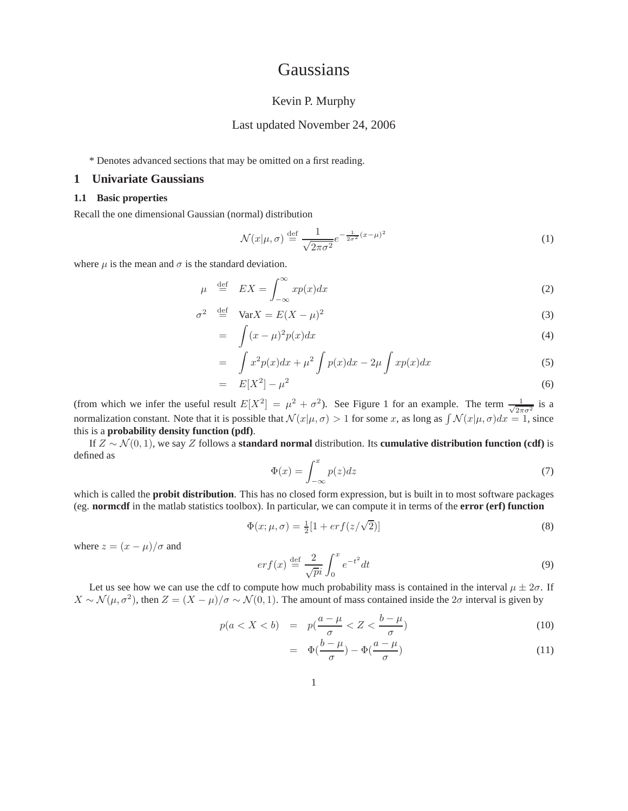# **Gaussians**

# Kevin P. Murphy

# Last updated November 24, 2006

\* Denotes advanced sections that may be omitted on a first reading.

#### **1 Univariate Gaussians**

#### **1.1 Basic properties**

Recall the one dimensional Gaussian (normal) distribution

$$
\mathcal{N}(x|\mu,\sigma) \stackrel{\text{def}}{=} \frac{1}{\sqrt{2\pi\sigma^2}} e^{-\frac{1}{2\sigma^2}(x-\mu)^2}
$$
 (1)

where  $\mu$  is the mean and  $\sigma$  is the standard deviation.

$$
\mu \stackrel{\text{def}}{=} EX = \int_{-\infty}^{\infty} x p(x) dx \tag{2}
$$

$$
\sigma^2 \stackrel{\text{def}}{=} \text{Var}X = E(X - \mu)^2 \tag{3}
$$

$$
= \int (x - \mu)^2 p(x) dx \tag{4}
$$

$$
= \int x^2 p(x) dx + \mu^2 \int p(x) dx - 2\mu \int x p(x) dx \tag{5}
$$

$$
= E[X^2] - \mu^2 \tag{6}
$$

(from which we infer the useful result  $E[X^2] = \mu^2 + \sigma^2$ ). See Figure 1 for an example. The term  $\frac{1}{\sqrt{2\pi\sigma^2}}$  is a normalization constant. Note that it is possible that  $\mathcal{N}(x|\mu,\sigma) > 1$  for some x, as long as  $\int \mathcal{N}(x|\mu,\sigma)dx = 1$ , since this is a **probability density function (pdf)**.

If Z ∼ N (0, 1), we say Z follows a **standard normal** distribution. Its **cumulative distribution function (cdf)** is defined as

$$
\Phi(x) = \int_{-\infty}^{x} p(z)dz
$$
\n(7)

which is called the **probit distribution**. This has no closed form expression, but is built in to most software packages (eg. **normcdf** in the matlab statistics toolbox). In particular, we can compute it in terms of the **error (erf) function**

$$
\Phi(x; \mu, \sigma) = \frac{1}{2} [1 + erf(z/\sqrt{2})]
$$
\n(8)

where  $z = (x - \mu)/\sigma$  and

$$
erf(x) \stackrel{\text{def}}{=} \frac{2}{\sqrt{pi}} \int_0^x e^{-t^2} dt
$$
\n(9)

Let us see how we can use the cdf to compute how much probability mass is contained in the interval  $\mu \pm 2\sigma$ . If  $X \sim \mathcal{N}(\mu, \sigma^2)$ , then  $Z = (X - \mu)/\sigma \sim \mathcal{N}(0, 1)$ . The amount of mass contained inside the  $2\sigma$  interval is given by

$$
p(a < X < b) = p\left(\frac{a - \mu}{\sigma} < Z < \frac{b - \mu}{\sigma}\right) \tag{10}
$$

$$
= \Phi\left(\frac{b-\mu}{\sigma}\right) - \Phi\left(\frac{a-\mu}{\sigma}\right) \tag{11}
$$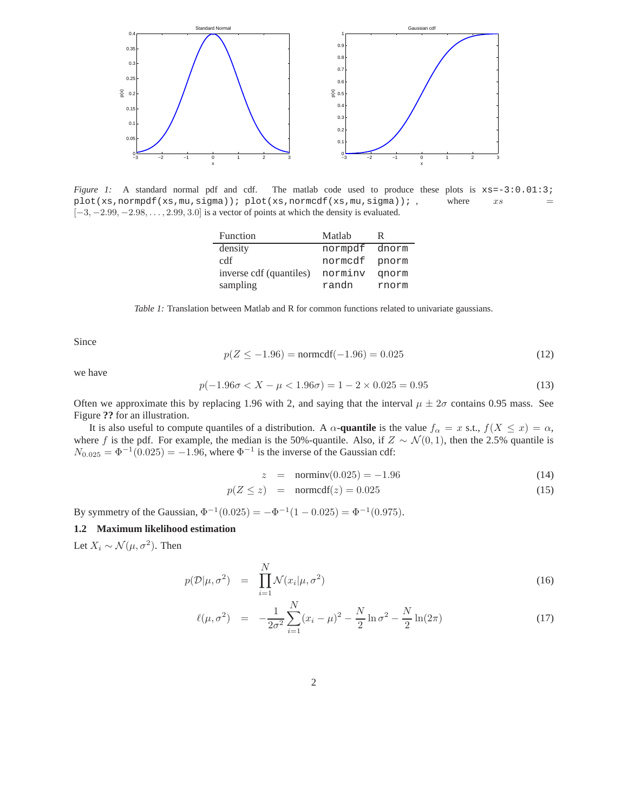

*Figure 1:* A standard normal pdf and cdf. The matlab code used to produce these plots is  $xs = -3:0.01:3$ ; plot(xs,normpdf(xs,mu,sigma)); plot(xs,normcdf(xs,mu,sigma)); , where  $xs =$  $[-3, -2.99, -2.98, \ldots, 2.99, 3.0]$  is a vector of points at which the density is evaluated.

| Function                | Matlah  | R     |
|-------------------------|---------|-------|
| density                 | normpdf | dnorm |
| cdf                     | normcdf | pnorm |
| inverse cdf (quantiles) | norminv | qnorm |
| sampling                | randn   | rnorm |

*Table 1:* Translation between Matlab and R for common functions related to univariate gaussians.

Since

$$
p(Z \le -1.96) = \text{normcdf}(-1.96) = 0.025\tag{12}
$$

we have

$$
p(-1.96\sigma < X - \mu < 1.96\sigma) = 1 - 2 \times 0.025 = 0.95
$$
\n(13)

Often we approximate this by replacing 1.96 with 2, and saying that the interval  $\mu \pm 2\sigma$  contains 0.95 mass. See Figure **??** for an illustration.

It is also useful to compute quantiles of a distribution. A  $\alpha$ -quantile is the value  $f_{\alpha} = x$  s.t.,  $f(X \le x) = \alpha$ , where f is the pdf. For example, the median is the 50%-quantile. Also, if  $Z \sim \mathcal{N}(0, 1)$ , then the 2.5% quantile is  $N_{0.025} = \Phi^{-1}(0.025) = -1.96$ , where  $\Phi^{-1}$  is the inverse of the Gaussian cdf:

$$
z = \text{norminv}(0.025) = -1.96 \tag{14}
$$

$$
p(Z \le z) = \text{normcdf}(z) = 0.025 \tag{15}
$$

By symmetry of the Gaussian,  $\Phi^{-1}(0.025) = -\Phi^{-1}(1 - 0.025) = \Phi^{-1}(0.975)$ .

# **1.2 Maximum likelihood estimation**

Let  $X_i \sim \mathcal{N}(\mu, \sigma^2)$ . Then

$$
p(\mathcal{D}|\mu, \sigma^2) = \prod_{i=1}^{N} \mathcal{N}(x_i|\mu, \sigma^2)
$$
\n(16)

$$
\ell(\mu, \sigma^2) = -\frac{1}{2\sigma^2} \sum_{i=1}^{N} (x_i - \mu)^2 - \frac{N}{2} \ln \sigma^2 - \frac{N}{2} \ln(2\pi) \tag{17}
$$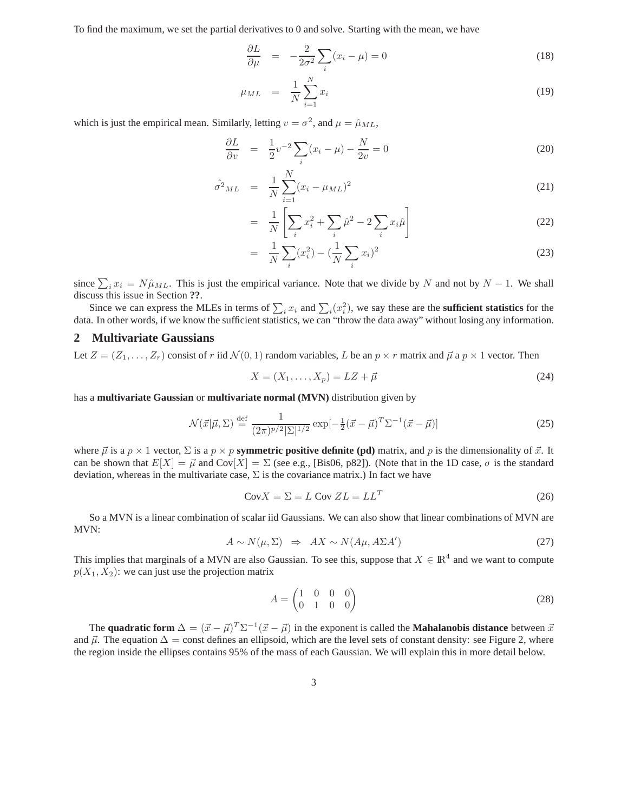To find the maximum, we set the partial derivatives to 0 and solve. Starting with the mean, we have

∂L

$$
\frac{\partial L}{\partial \mu} = -\frac{2}{2\sigma^2} \sum_{i} (x_i - \mu) = 0 \tag{18}
$$

$$
\mu_{ML} = \frac{1}{N} \sum_{i=1}^{N} x_i
$$
\n(19)

which is just the empirical mean. Similarly, letting  $v = \sigma^2$ , and  $\mu = \hat{\mu}_{ML}$ ,

$$
\frac{\partial L}{\partial v} = \frac{1}{2}v^{-2} \sum_{i} (x_i - \mu) - \frac{N}{2v} = 0 \tag{20}
$$

$$
\hat{\sigma}^2_{ML} = \frac{1}{N} \sum_{i=1}^{N} (x_i - \mu_{ML})^2
$$
\n(21)

$$
= \frac{1}{N} \left[ \sum_{i} x_i^2 + \sum_{i} \hat{\mu}^2 - 2 \sum_{i} x_i \hat{\mu} \right]
$$
 (22)

$$
= \frac{1}{N} \sum_{i} (x_i^2) - \left(\frac{1}{N} \sum_{i} x_i\right)^2 \tag{23}
$$

since  $\sum_i x_i = N \hat{\mu}_{ML}$ . This is just the empirical variance. Note that we divide by N and not by  $N - 1$ . We shall discuss this issue in Section **??**.

Since we can express the MLEs in terms of  $\sum_i x_i$  and  $\sum_i (x_i^2)$ , we say these are the **sufficient statistics** for the data. In other words, if we know the sufficient statistics, we can "throw the data away" without losing any information.

## **2 Multivariate Gaussians**

Let  $Z = (Z_1, \ldots, Z_r)$  consist of r iid  $\mathcal{N}(0, 1)$  random variables, L be an  $p \times r$  matrix and  $\vec{\mu}$  a  $p \times 1$  vector. Then

$$
X = (X_1, \dots, X_p) = LZ + \vec{\mu}
$$
\n<sup>(24)</sup>

has a **multivariate Gaussian** or **multivariate normal (MVN)** distribution given by

$$
\mathcal{N}(\vec{x}|\vec{\mu}, \Sigma) \stackrel{\text{def}}{=} \frac{1}{(2\pi)^{p/2} |\Sigma|^{1/2}} \exp[-\frac{1}{2}(\vec{x} - \vec{\mu})^T \Sigma^{-1} (\vec{x} - \vec{\mu})]
$$
(25)

where  $\vec{\mu}$  is a  $p \times 1$  vector,  $\Sigma$  is a  $p \times p$  **symmetric positive definite (pd)** matrix, and p is the dimensionality of  $\vec{x}$ . It can be shown that  $E[X] = \vec{\mu}$  and Cov $[X] = \Sigma$  (see e.g., [Bis06, p82]). (Note that in the 1D case,  $\sigma$  is the standard deviation, whereas in the multivariate case,  $\Sigma$  is the covariance matrix.) In fact we have

$$
CovX = \Sigma = L Cov ZL = LL^T
$$
\n(26)

So a MVN is a linear combination of scalar iid Gaussians. We can also show that linear combinations of MVN are MVN:

$$
A \sim N(\mu, \Sigma) \Rightarrow AX \sim N(A\mu, A\Sigma A')
$$
\n(27)

This implies that marginals of a MVN are also Gaussian. To see this, suppose that  $X \in \mathbb{R}^4$  and we want to compute  $p(X_1, X_2)$ : we can just use the projection matrix

$$
A = \begin{pmatrix} 1 & 0 & 0 & 0 \\ 0 & 1 & 0 & 0 \end{pmatrix} \tag{28}
$$

The **quadratic form**  $\Delta = (\vec{x} - \vec{\mu})^T \Sigma^{-1} (\vec{x} - \vec{\mu})$  in the exponent is called the **Mahalanobis distance** between  $\vec{x}$ and  $\vec{\mu}$ . The equation  $\Delta =$  const defines an ellipsoid, which are the level sets of constant density: see Figure 2, where the region inside the ellipses contains 95% of the mass of each Gaussian. We will explain this in more detail below.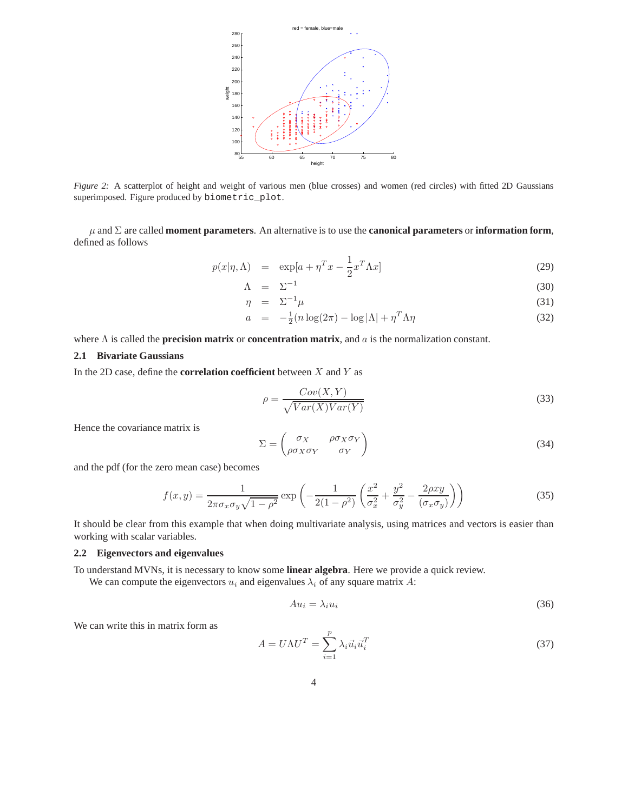

*Figure 2:* A scatterplot of height and weight of various men (blue crosses) and women (red circles) with fitted 2D Gaussians superimposed. Figure produced by biometric\_plot.

µ and Σ are called **moment parameters**. An alternative is to use the **canonical parameters** or **information form**, defined as follows

$$
p(x|\eta,\Lambda) = \exp[a + \eta^T x - \frac{1}{2}x^T \Lambda x]
$$
\n(29)

$$
\Lambda = \Sigma^{-1} \tag{30}
$$

$$
\eta = \Sigma^{-1} \mu \tag{31}
$$

$$
a = -\frac{1}{2}(n\log(2\pi) - \log|\Lambda| + \eta^T \Lambda \eta \tag{32}
$$

where Λ is called the **precision matrix** or **concentration matrix**, and a is the normalization constant.

## **2.1 Bivariate Gaussians**

In the 2D case, define the **correlation coefficient** between X and Y as

$$
\rho = \frac{Cov(X, Y)}{\sqrt{Var(X)Var(Y)}}\tag{33}
$$

Hence the covariance matrix is

$$
\Sigma = \begin{pmatrix} \sigma_X & \rho \sigma_X \sigma_Y \\ \rho \sigma_X \sigma_Y & \sigma_Y \end{pmatrix}
$$
 (34)

and the pdf (for the zero mean case) becomes

$$
f(x,y) = \frac{1}{2\pi\sigma_x\sigma_y\sqrt{1-\rho^2}} \exp\left(-\frac{1}{2(1-\rho^2)}\left(\frac{x^2}{\sigma_x^2} + \frac{y^2}{\sigma_y^2} - \frac{2\rho xy}{(\sigma_x\sigma_y)}\right)\right)
$$
(35)

It should be clear from this example that when doing multivariate analysis, using matrices and vectors is easier than working with scalar variables.

## **2.2 Eigenvectors and eigenvalues**

To understand MVNs, it is necessary to know some **linear algebra**. Here we provide a quick review.

We can compute the eigenvectors  $u_i$  and eigenvalues  $\lambda_i$  of any square matrix A:

$$
Au_i = \lambda_i u_i \tag{36}
$$

We can write this in matrix form as

$$
A = U\Lambda U^T = \sum_{i=1}^p \lambda_i \vec{u}_i \vec{u}_i^T
$$
\n(37)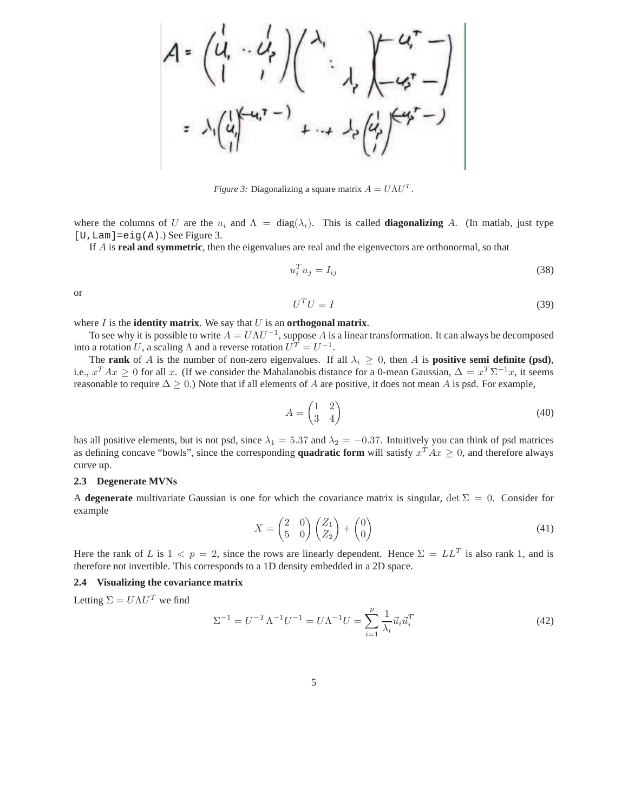

*Figure 3:* Diagonalizing a square matrix  $A = U \Lambda U^{T}$ .

where the columns of U are the  $u_i$  and  $\Lambda = \text{diag}(\lambda_i)$ . This is called **diagonalizing** A. (In matlab, just type  $[U, Lam] = eig(A).$ ) See Figure 3.

If A is **real and symmetric**, then the eigenvalues are real and the eigenvectors are orthonormal, so that

$$
u_i^T u_j = I_{ij} \tag{38}
$$

or

$$
U^T U = I \tag{39}
$$

# where  $I$  is the **identity matrix**. We say that  $U$  is an **orthogonal matrix**.

To see why it is possible to write  $A = U\Lambda U^{-1}$ , suppose A is a linear transformation. It can always be decomposed into a rotation U, a scaling  $\Lambda$  and a reverse rotation  $U^T = U^{-1}$ .

The **rank** of A is the number of non-zero eigenvalues. If all  $\lambda_i \geq 0$ , then A is **positive semi definite (psd)**, i.e.,  $x^T Ax \ge 0$  for all x. (If we consider the Mahalanobis distance for a 0-mean Gaussian,  $\Delta = x^T \Sigma^{-1} x$ , it seems reasonable to require  $\Delta \ge 0$ .) Note that if all elements of A are positive, it does not mean A is psd. For example,

$$
A = \begin{pmatrix} 1 & 2 \\ 3 & 4 \end{pmatrix} \tag{40}
$$

has all positive elements, but is not psd, since  $\lambda_1 = 5.37$  and  $\lambda_2 = -0.37$ . Intuitively you can think of psd matrices as defining concave "bowls", since the corresponding **quadratic form** will satisfy  $x^T A x \ge 0$ , and therefore always curve up.

#### **2.3 Degenerate MVNs**

A **degenerate** multivariate Gaussian is one for which the covariance matrix is singular,  $\det \Sigma = 0$ . Consider for example

$$
X = \begin{pmatrix} 2 & 0 \\ 5 & 0 \end{pmatrix} \begin{pmatrix} Z_1 \\ Z_2 \end{pmatrix} + \begin{pmatrix} 0 \\ 0 \end{pmatrix} \tag{41}
$$

Here the rank of L is  $1 < p = 2$ , since the rows are linearly dependent. Hence  $\Sigma = LL^T$  is also rank 1, and is therefore not invertible. This corresponds to a 1D density embedded in a 2D space.

#### **2.4 Visualizing the covariance matrix**

Letting  $\Sigma = U \Lambda U^T$  we find

$$
\Sigma^{-1} = U^{-T} \Lambda^{-1} U^{-1} = U \Lambda^{-1} U = \sum_{i=1}^{p} \frac{1}{\lambda_i} \vec{u}_i \vec{u}_i^T
$$
(42)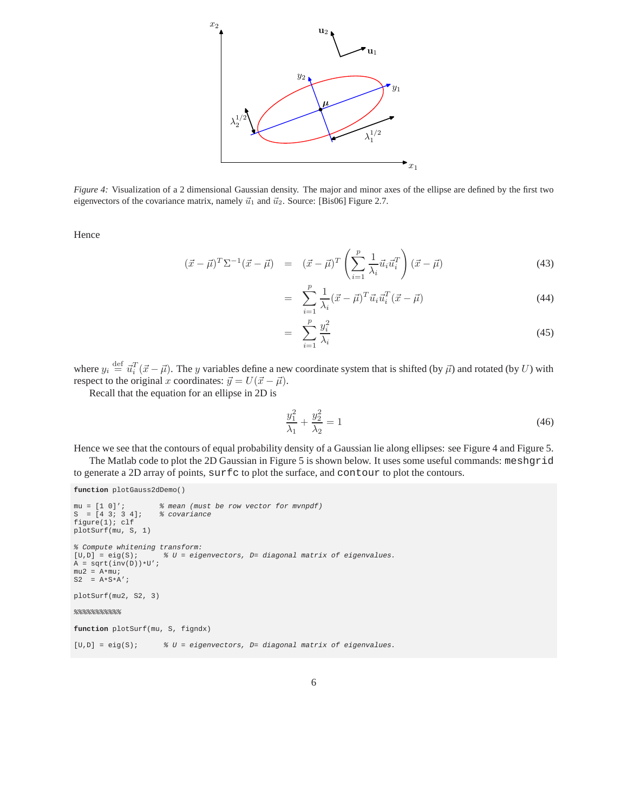

*Figure 4:* Visualization of a 2 dimensional Gaussian density. The major and minor axes of the ellipse are defined by the first two eigenvectors of the covariance matrix, namely  $\vec{u}_1$  and  $\vec{u}_2$ . Source: [Bis06] Figure 2.7.

Hence

$$
(\vec{x} - \vec{\mu})^T \Sigma^{-1} (\vec{x} - \vec{\mu}) = (\vec{x} - \vec{\mu})^T \left( \sum_{i=1}^p \frac{1}{\lambda_i} \vec{u}_i \vec{u}_i^T \right) (\vec{x} - \vec{\mu}) \tag{43}
$$

$$
= \sum_{i=1}^{p} \frac{1}{\lambda_i} (\vec{x} - \vec{\mu})^T \vec{u}_i \vec{u}_i^T (\vec{x} - \vec{\mu}) \tag{44}
$$

$$
= \sum_{i=1}^{p} \frac{y_i^2}{\lambda_i} \tag{45}
$$

where  $y_i \stackrel{\text{def}}{=} \vec{u}_i^T(\vec{x} - \vec{\mu})$ . The y variables define a new coordinate system that is shifted (by  $\vec{\mu}$ ) and rotated (by U) with respect to the original x coordinates:  $\vec{y} = U(\vec{x} - \vec{\mu})$ .

Recall that the equation for an ellipse in 2D is

$$
\frac{y_1^2}{\lambda_1} + \frac{y_2^2}{\lambda_2} = 1\tag{46}
$$

Hence we see that the contours of equal probability density of a Gaussian lie along ellipses: see Figure 4 and Figure 5.

The Matlab code to plot the 2D Gaussian in Figure 5 is shown below. It uses some useful commands: meshgrid to generate a 2D array of points, surfc to plot the surface, and contour to plot the contours.

```
function plotGauss2dDemo()
mu = [1 0]'; % mean (must be row vector for mvnpdf)
S = [4 \ 3; 3 \ 4]; \frac{1}{6} covariance
figure(1); clf
plotSurf(mu, S, 1)
% Compute whitening transform:<br>[U,D] = eig(S); % U = eigU = eigenvectors, D = diagonal matrix of eigenvalues.\mathtt{A} \ = \ \mathtt{sqrt}(\mathtt{inv}(\mathtt{D})) \star \mathtt{U'} \ ;mu2 = A * mu;\texttt{S2 = A*S*A'};plotSurf(mu2, S2, 3)
& % % % % % % % % % % \%function plotSurf(mu, S, figndx)
[U, D] = eig(S); \& U = eigenvectors, D = diagonal matrix of eigenvalues.
```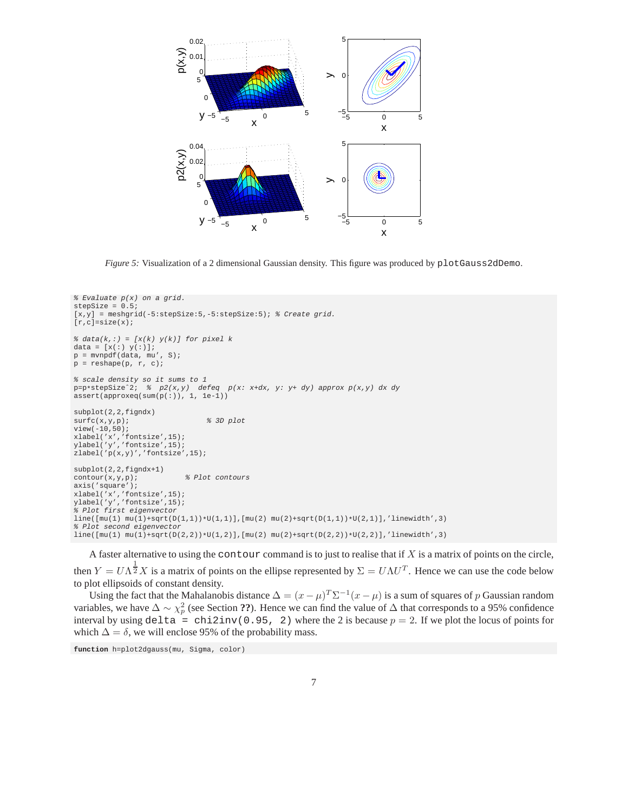

*Figure 5:* Visualization of a 2 dimensional Gaussian density. This figure was produced by plotGauss2dDemo.

```
% Evaluate p(x) on a grid.
stepSize = 0.5;
[x,y] = meshgrid(-5:stepSize:5,-5:stepSize:5); % Create grid.
[r,c]=size(x);% data(k,:) = [x(k) y(k)] for pixel k
\mathtt{data}\ =\ \left[\,\texttt{x}\,(\,\colon)\ \ \texttt{y}\,(\,\colon)\ \right]\texttt{;}p = m\nu pdf(data, mu', S);p = reshape(p, r, c);
% scale density so it sums to 1
p=p*stepSizeˆ2; % p2(x,y) defeq p(x: x+dx, y: y+ dy) approx p(x,y) dx dy
assert(approxeq(sum(p(:)), 1, 1e-1))
subplot(2,2,figndx)
\texttt{surface}(x,y,p)\text{;}\qquad \qquad \texttt{\$ 3D plot}view(-10,50);
xlabel('x','fontsize',15);
ylabel('y','fontsize',15);
zlabel('p(x,y)','fontsize',15);
subplot(2,2,figndx+1)
contour(x,y,p); % Plot contours
axis('square');
xlabel('x','fontsize',15);
ylabel('y','fontsize',15);
% Plot first eigenvector
\verb|line([mu(1) mu(1)+sqrt(D(1,1))*U(1,1))|[mu(2) mu(2)+sqrt(D(1,1))*U(2,1)]|,'linewidth',3)|% Plot second eigenvector
\verb|line([mu(1) mu(1)+sqrt(D(2,2))*U(1,2)]|[mu(2) mu(2)+sqrt(D(2,2))*U(2,2)]|,'linewidth',3)|
```
A faster alternative to using the contour command is to just to realise that if  $X$  is a matrix of points on the circle, then  $Y = U \Lambda^{\frac{1}{2}} X$  is a matrix of points on the ellipse represented by  $\Sigma = U \Lambda U^T$ . Hence we can use the code below to plot ellipsoids of constant density.

Using the fact that the Mahalanobis distance  $\Delta = (x - \mu)^T \Sigma^{-1} (x - \mu)$  is a sum of squares of p Gaussian random variables, we have  $\Delta \sim \chi_p^2$  (see Section **??**). Hence we can find the value of  $\Delta$  that corresponds to a 95% confidence interval by using delta = chi2inv(0.95, 2) where the 2 is because  $p = 2$ . If we plot the locus of points for which  $\Delta = \delta$ , we will enclose 95% of the probability mass.

**function** h=plot2dgauss(mu, Sigma, color)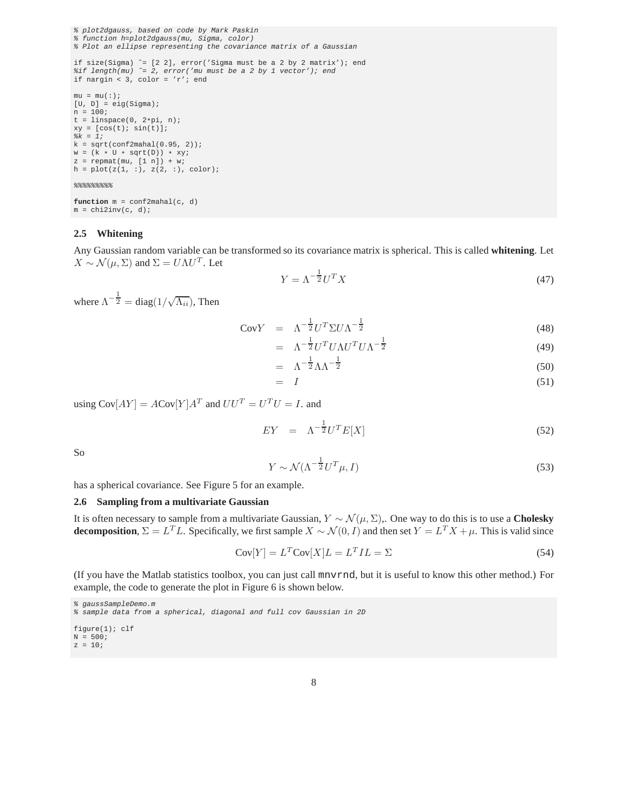```
% plot2dgauss, based on code by Mark Paskin
% function h=plot2dgauss(mu, Sigma, color)
% Plot an ellipse representing the covariance matrix of a Gaussian
if size(Sigma) z = [2 2], error('Sigma must be a 2 by 2 matrix'); end
%if length(mu) ˜= 2, error('mu must be a 2 by 1 vector'); end
if nargin < 3, color = 'r'; end
mu = mu(:);[U, D] = eig(Sigma);
n = 100;t = 1inspace(0, 2*pi, n);
xy = [cos(t); sin(t)];k = 1;k = sqrt(conf2mahal(0.95, 2));\texttt{w = (k * U * sqrt(D)) * xy;}z = repmat(mu, [1 n]) + w;
h = plot(z(1, :), z(2, :), color);88888888
```

```
function m = conf2mahal(c, d)
m = \text{chi2inv}(c, d);
```
#### **2.5 Whitening**

Any Gaussian random variable can be transformed so its covariance matrix is spherical. This is called **whitening**. Let  $X \sim \mathcal{N}(\mu, \Sigma)$  and  $\Sigma = U \Lambda U^T$ . Let

$$
Y = \Lambda^{-\frac{1}{2}} U^T X \tag{47}
$$

where  $\Lambda^{-\frac{1}{2}} = \text{diag}(1/\sqrt{\Lambda_{ii}})$ , Then

$$
CovY = \Lambda^{-\frac{1}{2}} U^T \Sigma U \Lambda^{-\frac{1}{2}}
$$
\n(48)

$$
= \Lambda^{-\frac{1}{2}} U^T U \Lambda U^T U \Lambda^{-\frac{1}{2}} \tag{49}
$$

$$
= \Lambda^{-\frac{1}{2}} \Lambda \Lambda^{-\frac{1}{2}} \tag{50}
$$

$$
= I \tag{51}
$$

using  $Cov[AY] = ACov[Y]A^T$  and  $UU^T = U^TU = I$ . and

$$
EY = \Lambda^{-\frac{1}{2}} U^T E[X] \tag{52}
$$

So

$$
Y \sim \mathcal{N}(\Lambda^{-\frac{1}{2}} U^T \mu, I) \tag{53}
$$

has a spherical covariance. See Figure 5 for an example.

#### **2.6 Sampling from a multivariate Gaussian**

It is often necessary to sample from a multivariate Gaussian, Y ∼ N (µ, Σ),. One way to do this is to use a **Cholesky decomposition**,  $\Sigma = L^T L$ . Specifically, we first sample  $X \sim \mathcal{N}(0, I)$  and then set  $Y = L^T X + \mu$ . This is valid since

$$
Cov[Y] = L^T Cov[X]L = L^T IL = \Sigma
$$
\n(54)

(If you have the Matlab statistics toolbox, you can just call mnvrnd, but it is useful to know this other method.) For example, the code to generate the plot in Figure 6 is shown below.

```
% gaussSampleDemo.m
% sample data from a spherical, diagonal and full cov Gaussian in 2D
figure(1); clf
N = 500;
z = 10;
```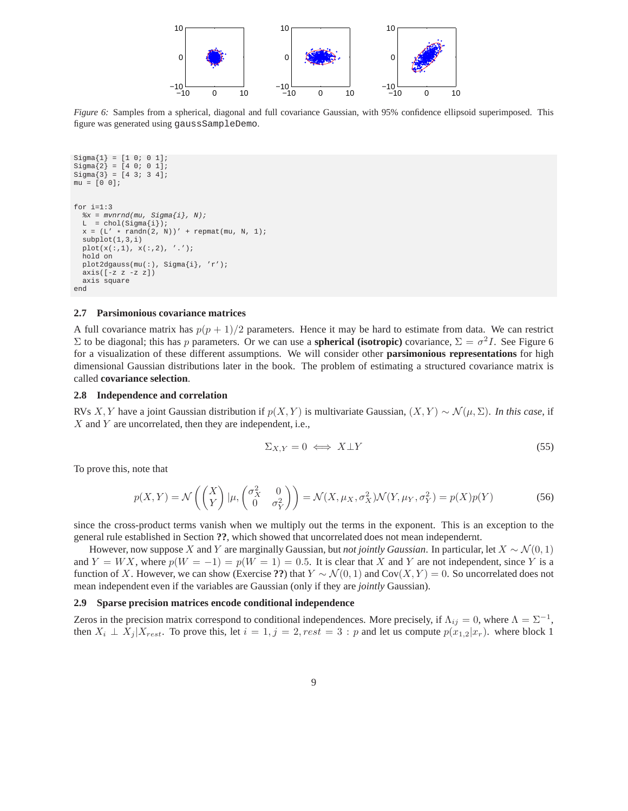

*Figure 6:* Samples from a spherical, diagonal and full covariance Gaussian, with 95% confidence ellipsoid superimposed. This figure was generated using gaussSampleDemo.

```
Sigma{1} = [1 0; 0 1];
Signa{2} = [4 0; 0 1];Signa{3} = [4 3; 3 4];mu = [0 0];
for i=1:3
  *x = m\nu nrad(mu, Sigma{ij}, N);L = chol(Sigma[i]);x = (L' * randn(2, N))' + repmat(mu, N, 1);subplot(1,3,i)
  {\tt plot(x(:,1),\ x(:,2), \ '.'');}hold on
 plot2dgauss(mu(:), Sigma{i}, 'r');
  axis([-z z -z z])axis square
end
```
#### **2.7 Parsimonious covariance matrices**

A full covariance matrix has  $p(p + 1)/2$  parameters. Hence it may be hard to estimate from data. We can restrict  $\Sigma$  to be diagonal; this has *p* parameters. Or we can use a **spherical (isotropic)** covariance,  $\Sigma = \sigma^2 I$ . See Figure 6 for a visualization of these different assumptions. We will consider other **parsimonious representations** for high dimensional Gaussian distributions later in the book. The problem of estimating a structured covariance matrix is called **covariance selection**.

#### **2.8 Independence and correlation**

RVs X, Y have a joint Gaussian distribution if  $p(X, Y)$  is multivariate Gaussian,  $(X, Y) \sim \mathcal{N}(\mu, \Sigma)$ . *In this case*, if X and Y are uncorrelated, then they are independent, i.e.,

$$
\Sigma_{X,Y} = 0 \iff X \bot Y \tag{55}
$$

To prove this, note that

$$
p(X,Y) = \mathcal{N}\left(\begin{pmatrix} X \\ Y \end{pmatrix} | \mu, \begin{pmatrix} \sigma_X^2 & 0 \\ 0 & \sigma_Y^2 \end{pmatrix}\right) = \mathcal{N}(X, \mu_X, \sigma_X^2) \mathcal{N}(Y, \mu_Y, \sigma_Y^2) = p(X)p(Y)
$$
(56)

since the cross-product terms vanish when we multiply out the terms in the exponent. This is an exception to the general rule established in Section **??**, which showed that uncorrelated does not mean independernt.

However, now suppose X and Y are marginally Gaussian, but *not jointly Gaussian*. In particular, let  $X \sim \mathcal{N}(0, 1)$ and  $Y = W X$ , where  $p(W = -1) = p(W = 1) = 0.5$ . It is clear that X and Y are not independent, since Y is a function of X. However, we can show (Exercise **??**) that  $Y \sim \mathcal{N}(0, 1)$  and Cov $(X, Y) = 0$ . So uncorrelated does not mean independent even if the variables are Gaussian (only if they are *jointly* Gaussian).

#### **2.9 Sparse precision matrices encode conditional independence**

Zeros in the precision matrix correspond to conditional independences. More precisely, if  $\Lambda_{ij} = 0$ , where  $\Lambda = \Sigma^{-1}$ , then  $X_i \perp X_j | X_{rest}$ . To prove this, let  $i = 1, j = 2, rest = 3 : p$  and let us compute  $p(x_{1,2}|x_r)$ . where block 1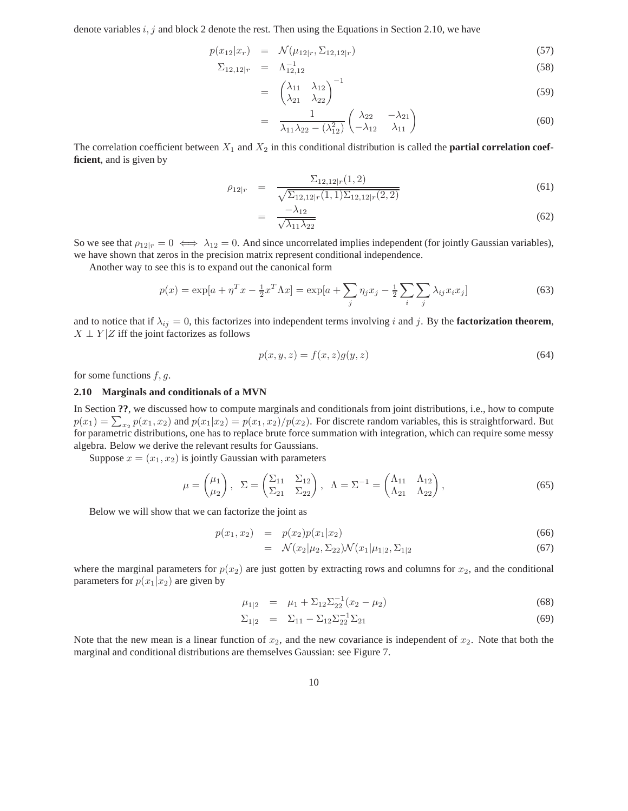denote variables  $i, j$  and block 2 denote the rest. Then using the Equations in Section 2.10, we have

=

$$
p(x_{12}|x_r) = \mathcal{N}(\mu_{12|r}, \Sigma_{12,12|r}) \tag{57}
$$

$$
\Sigma_{12,12|r} = \Lambda_{12,12}^{-1} \tag{58}
$$

$$
= \begin{pmatrix} \lambda_{11} & \lambda_{12} \\ \lambda_{21} & \lambda_{22} \end{pmatrix}^{-1} \tag{59}
$$

$$
= \frac{1}{\lambda_{11}\lambda_{22} - (\lambda_{12}^2)} \begin{pmatrix} \lambda_{22} & -\lambda_{21} \\ -\lambda_{12} & \lambda_{11} \end{pmatrix}
$$
 (60)

The correlation coefficient between  $X_1$  and  $X_2$  in this conditional distribution is called the **partial correlation coefficient**, and is given by

$$
\rho_{12|r} = \frac{\Sigma_{12,12|r}(1,2)}{\sqrt{\Sigma_{12,12|r}(1,1)\Sigma_{12,12|r}(2,2)}} \tag{61}
$$

$$
= \frac{-\lambda_{12}}{\sqrt{\lambda_{11}\lambda_{22}}} \tag{62}
$$

So we see that  $\rho_{12|r} = 0 \iff \lambda_{12} = 0$ . And since uncorrelated implies independent (for jointly Gaussian variables), we have shown that zeros in the precision matrix represent conditional independence.

Another way to see this is to expand out the canonical form

$$
p(x) = \exp[a + \eta^T x - \frac{1}{2} x^T \Lambda x] = \exp[a + \sum_j \eta_j x_j - \frac{1}{2} \sum_i \sum_j \lambda_{ij} x_i x_j]
$$
(63)

and to notice that if  $\lambda_{ij} = 0$ , this factorizes into independent terms involving i and j. By the **factorization theorem**,  $X \perp Y | Z$  iff the joint factorizes as follows

$$
p(x, y, z) = f(x, z)g(y, z) \tag{64}
$$

for some functions  $f, g$ .

#### **2.10 Marginals and conditionals of a MVN**

In Section **??**, we discussed how to compute marginals and conditionals from joint distributions, i.e., how to compute  $p(x_1) = \sum_{x_2} p(x_1, x_2)$  and  $p(x_1|x_2) = p(x_1, x_2)/p(x_2)$ . For discrete random variables, this is straightforward. But for parametric distributions, one has to replace brute force summation with integration, which can require some messy algebra. Below we derive the relevant results for Gaussians.

Suppose  $x = (x_1, x_2)$  is jointly Gaussian with parameters

$$
\mu = \begin{pmatrix} \mu_1 \\ \mu_2 \end{pmatrix}, \quad \Sigma = \begin{pmatrix} \Sigma_{11} & \Sigma_{12} \\ \Sigma_{21} & \Sigma_{22} \end{pmatrix}, \quad \Lambda = \Sigma^{-1} = \begin{pmatrix} \Lambda_{11} & \Lambda_{12} \\ \Lambda_{21} & \Lambda_{22} \end{pmatrix},\tag{65}
$$

Below we will show that we can factorize the joint as

$$
p(x_1, x_2) = p(x_2)p(x_1|x_2)
$$
\n(66)

$$
= \mathcal{N}(x_2|\mu_2, \Sigma_{22}) \mathcal{N}(x_1|\mu_{1|2}, \Sigma_{1|2}) \tag{67}
$$

where the marginal parameters for  $p(x_2)$  are just gotten by extracting rows and columns for  $x_2$ , and the conditional parameters for  $p(x_1|x_2)$  are given by

$$
\mu_{1|2} = \mu_1 + \Sigma_{12} \Sigma_{22}^{-1} (x_2 - \mu_2) \tag{68}
$$

$$
\Sigma_{1|2} = \Sigma_{11} - \Sigma_{12} \Sigma_{22}^{-1} \Sigma_{21} \tag{69}
$$

Note that the new mean is a linear function of  $x_2$ , and the new covariance is independent of  $x_2$ . Note that both the marginal and conditional distributions are themselves Gaussian: see Figure 7.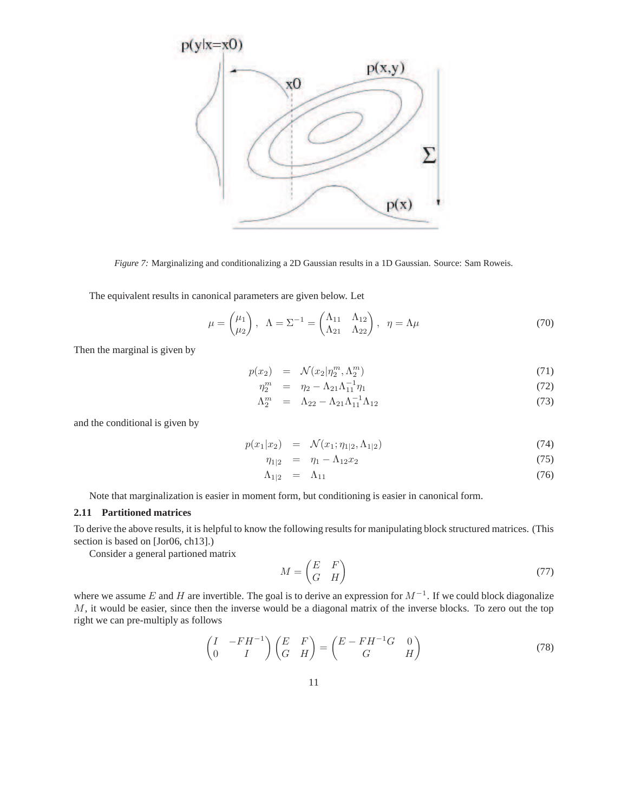

*Figure 7:* Marginalizing and conditionalizing a 2D Gaussian results in a 1D Gaussian. Source: Sam Roweis.

The equivalent results in canonical parameters are given below. Let

$$
\mu = \begin{pmatrix} \mu_1 \\ \mu_2 \end{pmatrix}, \quad \Lambda = \Sigma^{-1} = \begin{pmatrix} \Lambda_{11} & \Lambda_{12} \\ \Lambda_{21} & \Lambda_{22} \end{pmatrix}, \quad \eta = \Lambda \mu \tag{70}
$$

Then the marginal is given by

$$
p(x_2) = \mathcal{N}(x_2 | \eta_2^m, \Lambda_2^m) \tag{71}
$$

$$
\eta_2^m = \eta_2 - \Lambda_{21} \Lambda_{11}^{-1} \eta_1 \tag{72}
$$

$$
\Lambda_2^m = \Lambda_{22} - \Lambda_{21} \Lambda_{11}^{-1} \Lambda_{12} \tag{73}
$$

and the conditional is given by

$$
p(x_1|x_2) = \mathcal{N}(x_1; \eta_{1|2}, \Lambda_{1|2}) \tag{74}
$$

$$
\eta_{1|2} = \eta_1 - \Lambda_{12} x_2 \tag{75}
$$

$$
\Lambda_{1|2} = \Lambda_{11} \tag{76}
$$

Note that marginalization is easier in moment form, but conditioning is easier in canonical form.

# **2.11 Partitioned matrices**

To derive the above results, it is helpful to know the following results for manipulating block structured matrices. (This section is based on [Jor06, ch13].)

Consider a general partioned matrix

$$
M = \begin{pmatrix} E & F \\ G & H \end{pmatrix} \tag{77}
$$

where we assume E and H are invertible. The goal is to derive an expression for  $M^{-1}$ . If we could block diagonalize  $M$ , it would be easier, since then the inverse would be a diagonal matrix of the inverse blocks. To zero out the top right we can pre-multiply as follows

$$
\begin{pmatrix} I & -FH^{-1} \\ 0 & I \end{pmatrix} \begin{pmatrix} E & F \\ G & H \end{pmatrix} = \begin{pmatrix} E - FH^{-1}G & 0 \\ G & H \end{pmatrix}
$$
(78)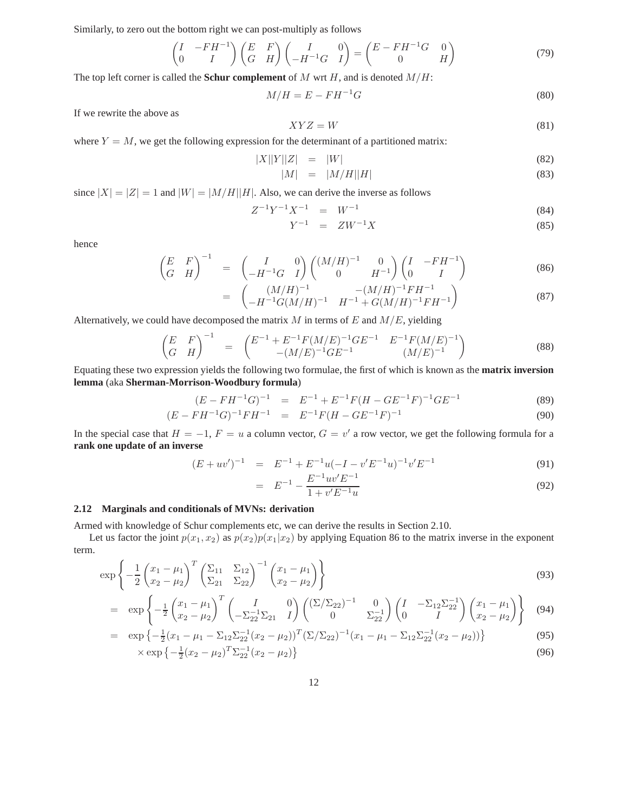Similarly, to zero out the bottom right we can post-multiply as follows

$$
\begin{pmatrix} I & -FH^{-1} \\ 0 & I \end{pmatrix} \begin{pmatrix} E & F \\ G & H \end{pmatrix} \begin{pmatrix} I & 0 \\ -H^{-1}G & I \end{pmatrix} = \begin{pmatrix} E - FH^{-1}G & 0 \\ 0 & H \end{pmatrix}
$$
(79)

The top left corner is called the **Schur complement** of M wrt H, and is denoted  $M/H$ :

$$
M/H = E - FH^{-1}G \tag{80}
$$

If we rewrite the above as

$$
XYZ = W \tag{81}
$$

where  $Y = M$ , we get the following expression for the determinant of a partitioned matrix:

$$
|X||Y||Z| = |W| \tag{82}
$$

$$
|M| = |M/H||H| \tag{83}
$$

since  $|X| = |Z| = 1$  and  $|W| = |M/H||H|$ . Also, we can derive the inverse as follows

$$
Z^{-1}Y^{-1}X^{-1} = W^{-1} \tag{84}
$$

$$
Y^{-1} = ZW^{-1}X \tag{85}
$$

hence

$$
\begin{pmatrix} E & F \ G & H \end{pmatrix}^{-1} = \begin{pmatrix} I & 0 \ -H^{-1}G & I \end{pmatrix} \begin{pmatrix} (M/H)^{-1} & 0 \ 0 & H^{-1} \end{pmatrix} \begin{pmatrix} I & -FH^{-1} \ 0 & I \end{pmatrix}
$$
(86)

$$
= \left( \begin{array}{cc} (M/H)^{-1} & -(M/H)^{-1}FH^{-1} \\ -H^{-1}G(M/H)^{-1} & H^{-1} + G(M/H)^{-1}FH^{-1} \end{array} \right) \tag{87}
$$

Alternatively, we could have decomposed the matrix  $M$  in terms of  $E$  and  $M/E$ , yielding

$$
\begin{pmatrix} E & F \ G & H \end{pmatrix}^{-1} = \begin{pmatrix} E^{-1} + E^{-1} F (M/E)^{-1} G E^{-1} & E^{-1} F (M/E)^{-1} \\ -(M/E)^{-1} G E^{-1} & (M/E)^{-1} \end{pmatrix}
$$
(88)

Equating these two expression yields the following two formulae, the first of which is known as the **matrix inversion lemma** (aka **Sherman-Morrison-Woodbury formula**)

$$
(E - FH^{-1}G)^{-1} = E^{-1} + E^{-1}F(H - GE^{-1}F)^{-1}GE^{-1}
$$
\n(89)

$$
(E - FH^{-1}G)^{-1}FH^{-1} = E^{-1}F(H - GE^{-1}F)^{-1}
$$
\n(90)

In the special case that  $H = -1$ ,  $F = u$  a column vector,  $G = v'$  a row vector, we get the following formula for a **rank one update of an inverse**

$$
(E + uv')^{-1} = E^{-1} + E^{-1}u(-I - v'E^{-1}u)^{-1}v'E^{-1}
$$
\n(91)

$$
= E^{-1} - \frac{E^{-1}uv'E^{-1}}{1 + v'E^{-1}u}
$$
\n(92)

#### **2.12 Marginals and conditionals of MVNs: derivation**

Armed with knowledge of Schur complements etc, we can derive the results in Section 2.10.

Let us factor the joint  $p(x_1, x_2)$  as  $p(x_2)p(x_1|x_2)$  by applying Equation 86 to the matrix inverse in the exponent term.

$$
\exp\left\{-\frac{1}{2}\begin{pmatrix}x_1 - \mu_1 \\ x_2 - \mu_2\end{pmatrix}^T \begin{pmatrix}\Sigma_{11} & \Sigma_{12} \\ \Sigma_{21} & \Sigma_{22}\end{pmatrix}^{-1} \begin{pmatrix}x_1 - \mu_1 \\ x_2 - \mu_2\end{pmatrix}\right\}
$$
(93)

$$
= \exp\left\{-\frac{1}{2}\begin{pmatrix}x_1 - \mu_1 \\ x_2 - \mu_2\end{pmatrix}^T \begin{pmatrix}I & 0 \\ -\Sigma_{22}^{-1}\Sigma_{21} & I\end{pmatrix} \begin{pmatrix}(\Sigma/\Sigma_{22})^{-1} & 0 \\ 0 & \Sigma_{22}^{-1}\end{pmatrix} \begin{pmatrix}I & -\Sigma_{12}\Sigma_{22}^{-1} \\ 0 & I\end{pmatrix} \begin{pmatrix}x_1 - \mu_1 \\ x_2 - \mu_2\end{pmatrix}\right\}
$$
(94)

$$
= \exp\left\{-\frac{1}{2}(x_1 - \mu_1 - \Sigma_{12}\Sigma_{22}^{-1}(x_2 - \mu_2))^T(\Sigma/\Sigma_{22})^{-1}(x_1 - \mu_1 - \Sigma_{12}\Sigma_{22}^{-1}(x_2 - \mu_2))\right\}
$$
(95)

$$
\times \exp\left\{-\frac{1}{2}(x_2 - \mu_2)^T \Sigma_{22}^{-1} (x_2 - \mu_2)\right\} \tag{96}
$$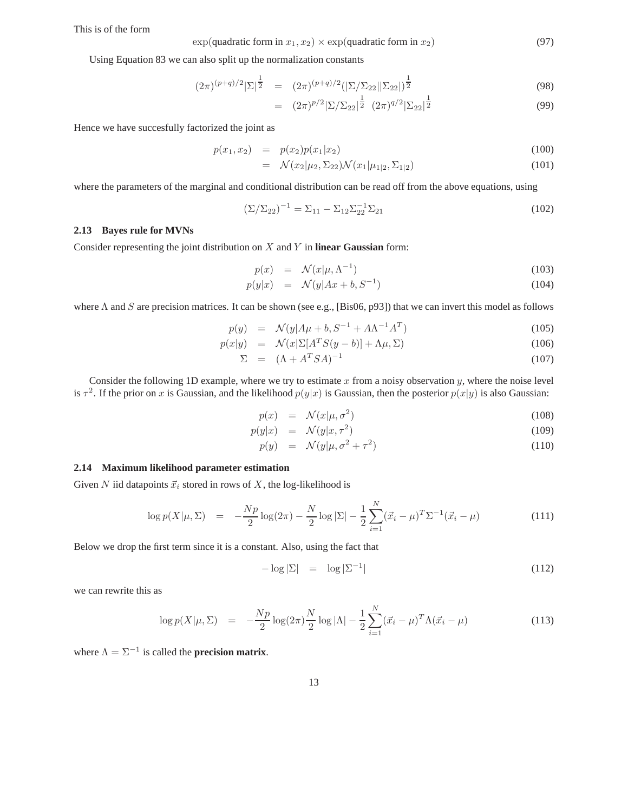This is of the form

$$
\exp(\text{quadratic form in } x_1, x_2) \times \exp(\text{quadratic form in } x_2) \tag{97}
$$

Using Equation 83 we can also split up the normalization constants

$$
(2\pi)^{(p+q)/2}|\Sigma|^{\frac{1}{2}} = (2\pi)^{(p+q)/2}(|\Sigma/\Sigma_{22}||\Sigma_{22}|)^{\frac{1}{2}}
$$
\n(98)

$$
= (2\pi)^{p/2} |\Sigma/\Sigma_{22}|^{\frac{1}{2}} (2\pi)^{q/2} |\Sigma_{22}|^{\frac{1}{2}} \tag{99}
$$

Hence we have succesfully factorized the joint as

$$
p(x_1, x_2) = p(x_2)p(x_1|x_2)
$$
\n(100)

$$
= \mathcal{N}(x_2|\mu_2, \Sigma_{22})\mathcal{N}(x_1|\mu_{1|2}, \Sigma_{1|2}) \tag{101}
$$

where the parameters of the marginal and conditional distribution can be read off from the above equations, using

$$
(\Sigma/\Sigma_{22})^{-1} = \Sigma_{11} - \Sigma_{12}\Sigma_{22}^{-1}\Sigma_{21}
$$
 (102)

## **2.13 Bayes rule for MVNs**

Consider representing the joint distribution on X and Y in **linear Gaussian** form:

$$
p(x) = \mathcal{N}(x|\mu, \Lambda^{-1}) \tag{103}
$$

$$
p(y|x) = \mathcal{N}(y|Ax+b, S^{-1}) \tag{104}
$$

where  $\Lambda$  and  $S$  are precision matrices. It can be shown (see e.g., [Bis06, p93]) that we can invert this model as follows

$$
p(y) = \mathcal{N}(y|A\mu + b, S^{-1} + A\Lambda^{-1}A^{T})
$$
\n(105)

$$
p(x|y) = \mathcal{N}(x|\Sigma[A^TS(y-b)] + \Lambda\mu, \Sigma)
$$
\n(106)

$$
\Sigma = (\Lambda + A^T S A)^{-1} \tag{107}
$$

Consider the following 1D example, where we try to estimate x from a noisy observation  $y$ , where the noise level is  $\tau^2$ . If the prior on x is Gaussian, and the likelihood  $p(y|x)$  is Gaussian, then the posterior  $p(x|y)$  is also Gaussian:

$$
p(x) = \mathcal{N}(x|\mu, \sigma^2) \tag{108}
$$

$$
p(y|x) = \mathcal{N}(y|x, \tau^2) \tag{109}
$$

$$
p(y) = \mathcal{N}(y|\mu, \sigma^2 + \tau^2) \tag{110}
$$

### **2.14 Maximum likelihood parameter estimation**

Given N iid datapoints  $\vec{x}_i$  stored in rows of X, the log-likelihood is

$$
\log p(X|\mu, \Sigma) = -\frac{Np}{2}\log(2\pi) - \frac{N}{2}\log|\Sigma| - \frac{1}{2}\sum_{i=1}^{N} (\vec{x}_i - \mu)^T \Sigma^{-1} (\vec{x}_i - \mu)
$$
(111)

Below we drop the first term since it is a constant. Also, using the fact that

$$
-\log|\Sigma| = \log|\Sigma^{-1}| \tag{112}
$$

we can rewrite this as

$$
\log p(X|\mu, \Sigma) = -\frac{Np}{2} \log(2\pi) \frac{N}{2} \log |\Lambda| - \frac{1}{2} \sum_{i=1}^{N} (\vec{x}_i - \mu)^T \Lambda (\vec{x}_i - \mu)
$$
(113)

where  $\Lambda = \Sigma^{-1}$  is called the **precision matrix**.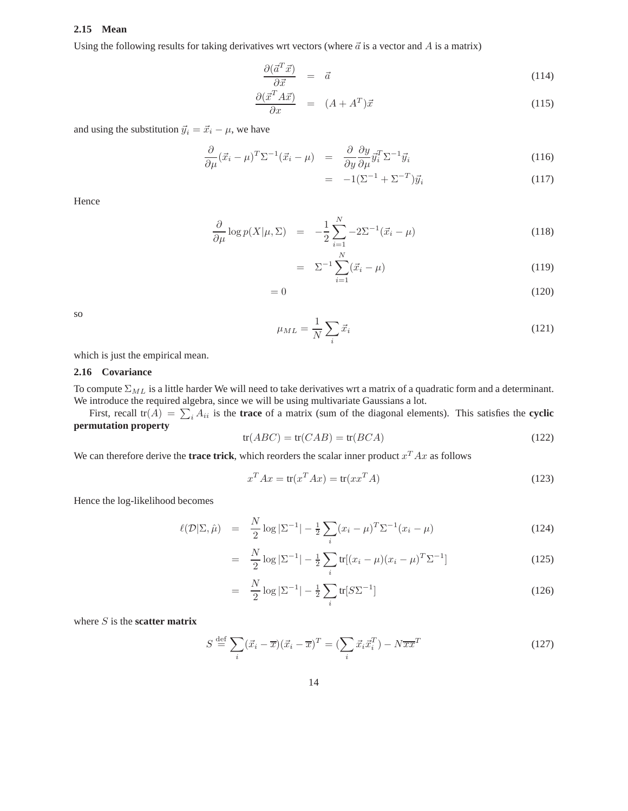#### **2.15 Mean**

Using the following results for taking derivatives wrt vectors (where  $\vec{a}$  is a vector and A is a matrix)

$$
\frac{\partial(\vec{a}^T \vec{x})}{\partial \vec{x}} = \vec{a} \tag{114}
$$

$$
\frac{\partial(\vec{x}^T A \vec{x})}{\partial x} = (A + A^T)\vec{x} \tag{115}
$$

and using the substitution  $\vec{y}_i = \vec{x}_i - \mu$ , we have

$$
\frac{\partial}{\partial \mu} (\vec{x}_i - \mu)^T \Sigma^{-1} (\vec{x}_i - \mu) = \frac{\partial}{\partial y} \frac{\partial y}{\partial \mu} \vec{y}_i^T \Sigma^{-1} \vec{y}_i
$$
\n(116)

$$
= -1(\Sigma^{-1} + \Sigma^{-T})\vec{y}_i \tag{117}
$$

Hence

$$
\frac{\partial}{\partial \mu} \log p(X|\mu, \Sigma) = -\frac{1}{2} \sum_{i=1}^{N} -2\Sigma^{-1} (\vec{x}_i - \mu)
$$
\n(118)

$$
= \Sigma^{-1} \sum_{i=1}^{N} (\vec{x}_i - \mu) \tag{119}
$$

$$
=0\tag{120}
$$

so

$$
\mu_{ML} = \frac{1}{N} \sum_{i} \vec{x}_i \tag{121}
$$

which is just the empirical mean.

## **2.16 Covariance**

To compute  $\Sigma_{ML}$  is a little harder We will need to take derivatives wrt a matrix of a quadratic form and a determinant. We introduce the required algebra, since we will be using multivariate Gaussians a lot.

First, recall  $tr(A) = \sum_i A_{ii}$  is the **trace** of a matrix (sum of the diagonal elements). This satisfies the **cyclic permutation property**

$$
tr(ABC) = tr(CAB) = tr(BCA)
$$
\n(122)

We can therefore derive the **trace trick**, which reorders the scalar inner product  $x^T A x$  as follows

$$
x^T A x = \text{tr}(x^T A x) = \text{tr}(x x^T A) \tag{123}
$$

Hence the log-likelihood becomes

$$
\ell(\mathcal{D}|\Sigma,\hat{\mu}) = \frac{N}{2}\log|\Sigma^{-1}| - \frac{1}{2}\sum_{i}(x_i - \mu)^T \Sigma^{-1}(x_i - \mu)
$$
\n(124)

$$
= \frac{N}{2}\log|\Sigma^{-1}| - \frac{1}{2}\sum_{i}\text{tr}[(x_i - \mu)(x_i - \mu)^T\Sigma^{-1}] \tag{125}
$$

$$
= \frac{N}{2}\log|\Sigma^{-1}| - \frac{1}{2}\sum_{i} tr[S\Sigma^{-1}] \tag{126}
$$

where S is the **scatter matrix**

$$
S \stackrel{\text{def}}{=} \sum_{i} (\vec{x}_i - \overline{x})(\vec{x}_i - \overline{x})^T = \left(\sum_{i} \vec{x}_i \vec{x}_i^T\right) - N \overline{x} \overline{x}^T \tag{127}
$$